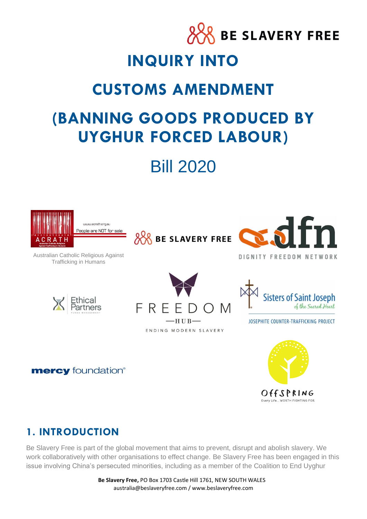

# Bill 2020



-HUB-

ENDING MODERN SLAVERY

FRE

JOSEPHITE COUNTER-TRAFFICKING PROJECT

**mercy** foundation®



# **1. INTRODUCTION**

Be Slavery Free is part of the global movement that aims to prevent, disrupt and abolish slavery. We work collaboratively with other organisations to effect change. Be Slavery Free has been engaged in this issue involving China's persecuted minorities, including as a member of the Coalition to End Uyghur

> **Be Slavery Free,** PO Box 1703 Castle Hill 1761, NEW SOUTH WALES australia@beslaveryfree.com / www.beslaveryfree.com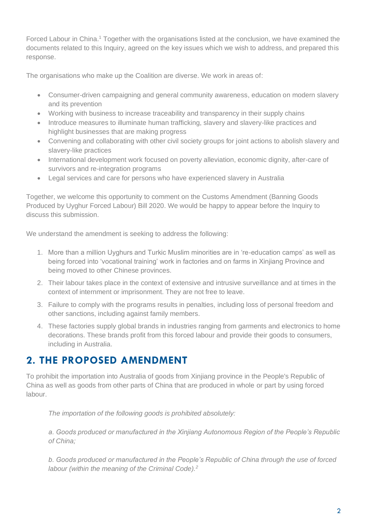Forced Labour in China.<sup>1</sup> Together with the organisations listed at the conclusion, we have examined the documents related to this Inquiry, agreed on the key issues which we wish to address, and prepared this response.

The organisations who make up the Coalition are diverse. We work in areas of:

- Consumer-driven campaigning and general community awareness, education on modern slavery and its prevention
- Working with business to increase traceability and transparency in their supply chains
- Introduce measures to illuminate human trafficking, slavery and slavery-like practices and highlight businesses that are making progress
- Convening and collaborating with other civil society groups for joint actions to abolish slavery and slavery-like practices
- International development work focused on poverty alleviation, economic dignity, after-care of survivors and re-integration programs
- Legal services and care for persons who have experienced slavery in Australia

Together, we welcome this opportunity to comment on the Customs Amendment (Banning Goods Produced by Uyghur Forced Labour) Bill 2020. We would be happy to appear before the Inquiry to discuss this submission.

We understand the amendment is seeking to address the following:

- 1. More than a million Uyghurs and Turkic Muslim minorities are in 're-education camps' as well as being forced into 'vocational training' work in factories and on farms in Xinjiang Province and being moved to other Chinese provinces.
- 2. Their labour takes place in the context of extensive and intrusive surveillance and at times in the context of internment or imprisonment. They are not free to leave.
- 3. Failure to comply with the programs results in penalties, including loss of personal freedom and other sanctions, including against family members.
- 4. These factories supply global brands in industries ranging from garments and electronics to home decorations. These brands profit from this forced labour and provide their goods to consumers, including in Australia.

# **2. THE PROPOSED AMENDMENT**

To prohibit the importation into Australia of goods from Xinjiang province in the People's Republic of China as well as goods from other parts of China that are produced in whole or part by using forced labour.

*The importation of the following goods is prohibited absolutely:* 

*a. Goods produced or manufactured in the Xinjiang Autonomous Region of the People's Republic of China;* 

*b. Goods produced or manufactured in the People's Republic of China through the use of forced labour (within the meaning of the Criminal Code).2*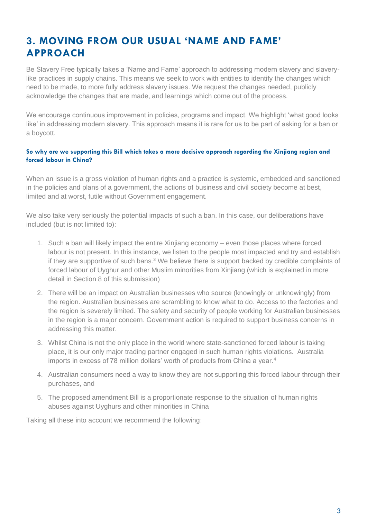# **3. MOVING FROM OUR USUAL 'NAME AND FAME' APPROACH**

Be Slavery Free typically takes a 'Name and Fame' approach to addressing modern slavery and slaverylike practices in supply chains. This means we seek to work with entities to identify the changes which need to be made, to more fully address slavery issues. We request the changes needed, publicly acknowledge the changes that are made, and learnings which come out of the process.

We encourage continuous improvement in policies, programs and impact. We highlight 'what good looks like' in addressing modern slavery. This approach means it is rare for us to be part of asking for a ban or a boycott.

#### **So why are we supporting this Bill which takes a more decisive approach regarding the Xinjiang region and forced labour in China?**

When an issue is a gross violation of human rights and a practice is systemic, embedded and sanctioned in the policies and plans of a government, the actions of business and civil society become at best, limited and at worst, futile without Government engagement.

We also take very seriously the potential impacts of such a ban. In this case, our deliberations have included (but is not limited to):

- 1. Such a ban will likely impact the entire Xinjiang economy even those places where forced labour is not present. In this instance, we listen to the people most impacted and try and establish if they are supportive of such bans. $3$  We believe there is support backed by credible complaints of forced labour of Uyghur and other Muslim minorities from Xinjiang (which is explained in more detail in Section 8 of this submission)
- 2. There will be an impact on Australian businesses who source (knowingly or unknowingly) from the region. Australian businesses are scrambling to know what to do. Access to the factories and the region is severely limited. The safety and security of people working for Australian businesses in the region is a major concern. Government action is required to support business concerns in addressing this matter.
- 3. Whilst China is not the only place in the world where state-sanctioned forced labour is taking place, it is our only major trading partner engaged in such human rights violations. Australia imports in excess of 78 million dollars' worth of products from China a year.<sup>4</sup>
- 4. Australian consumers need a way to know they are not supporting this forced labour through their purchases, and
- 5. The proposed amendment Bill is a proportionate response to the situation of human rights abuses against Uyghurs and other minorities in China

Taking all these into account we recommend the following: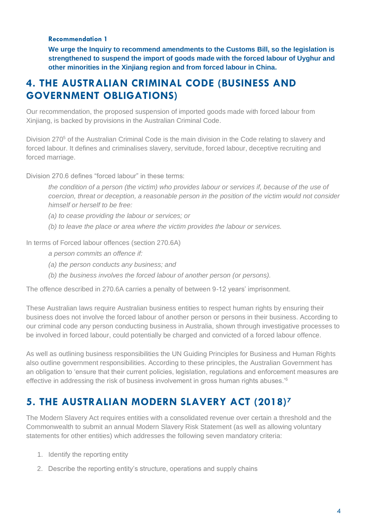#### **Recommendation 1**

**We urge the Inquiry to recommend amendments to the Customs Bill, so the legislation is strengthened to suspend the import of goods made with the forced labour of Uyghur and other minorities in the Xinjiang region and from forced labour in China.**

# **4. THE AUSTRALIAN CRIMINAL CODE (BUSINESS AND GOVERNMENT OBLIGATIONS)**

Our recommendation, the proposed suspension of imported goods made with forced labour from Xinjiang, is backed by provisions in the Australian Criminal Code.

Division 270<sup>5</sup> of the Australian Criminal Code is the main division in the Code relating to slavery and forced labour. It defines and criminalises slavery, servitude, forced labour, deceptive recruiting and forced marriage.

Division 270.6 defines "forced labour" in these terms:

*the condition of a person (the victim) who provides labour or services if, because of the use of coercion, threat or deception, a reasonable person in the position of the victim would not consider himself or herself to be free:* 

- *(a) to cease providing the labour or services; or*
- *(b) to leave the place or area where the victim provides the labour or services.*

In terms of Forced labour offences (section 270.6A)

*a person commits an offence if:* 

- *(a) the person conducts any business; and*
- *(b) the business involves the forced labour of another person (or persons).*

The offence described in 270.6A carries a penalty of between 9-12 years' imprisonment.

These Australian laws require Australian business entities to respect human rights by ensuring their business does not involve the forced labour of another person or persons in their business. According to our criminal code any person conducting business in Australia, shown through investigative processes to be involved in forced labour, could potentially be charged and convicted of a forced labour offence.

As well as outlining business responsibilities the UN Guiding Principles for Business and Human Rights also outline government responsibilities. According to these principles, the Australian Government has an obligation to 'ensure that their current policies, legislation, regulations and enforcement measures are effective in addressing the risk of business involvement in gross human rights abuses.'<sup>6</sup>

# **5. THE AUSTRALIAN MODERN SLAVERY ACT (2018)<sup>7</sup>**

The Modern Slavery Act requires entities with a consolidated revenue over certain a threshold and the Commonwealth to submit an annual Modern Slavery Risk Statement (as well as allowing voluntary statements for other entities) which addresses the following seven mandatory criteria:

- 1. Identify the reporting entity
- 2. Describe the reporting entity's structure, operations and supply chains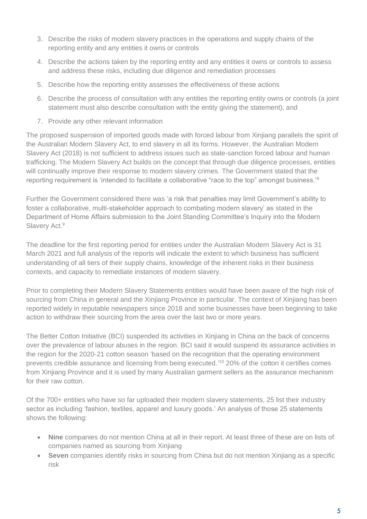- 3. Describe the risks of modern slavery practices in the operations and supply chains of the reporting entity and any entities it owns or controls
- 4. Describe the actions taken by the reporting entity and any entities it owns or controls to assess and address these risks, including due diligence and remediation processes
- 5. Describe how the reporting entity assesses the effectiveness of these actions
- 6. Describe the process of consultation with any entities the reporting entity owns or controls (a joint statement must also describe consultation with the entity giving the statement), and
- 7. Provide any other relevant information

The proposed suspension of imported goods made with forced labour from Xinjiang parallels the spirit of the Australian Modern Slavery Act, to end slavery in all its forms. However, the Australian Modern Slavery Act (2018) is not sufficient to address issues such as state-sanction forced labour and human trafficking. The Modern Slavery Act builds on the concept that through due diligence processes, entities will continually improve their response to modern slavery crimes. The Government stated that the reporting requirement is 'intended to facilitate a collaborative "race to the top" amongst business.'<sup>8</sup>

Further the Government considered there was 'a risk that penalties may limit Government's ability to foster a collaborative, multi-stakeholder approach to combating modern slavery' as stated in the Department of Home Affairs submission to the Joint Standing Committee's Inquiry into the Modern Slavery Act.<sup>9</sup>

The deadline for the first reporting period for entities under the Australian Modern Slavery Act is 31 March 2021 and full analysis of the reports will indicate the extent to which business has sufficient understanding of all tiers of their supply chains, knowledge of the inherent risks in their business contexts, and capacity to remediate instances of modern slavery.

Prior to completing their Modern Slavery Statements entities would have been aware of the high risk of sourcing from China in general and the Xinjiang Province in particular. The context of Xinjiang has been reported widely in reputable newspapers since 2018 and some businesses have been beginning to take action to withdraw their sourcing from the area over the last two or more years.

The Better Cotton Initiative (BCI) suspended its activities in Xinjiang in China on the back of concerns over the prevalence of labour abuses in the region. BCI said it would suspend its assurance activities in the region for the 2020-21 cotton season 'based on the recognition that the operating environment prevents credible assurance and licensing from being executed.' <sup>10</sup> 20% of the cotton it certifies comes from Xinjiang Province and it is used by many Australian garment sellers as the assurance mechanism for their raw cotton.

Of the 700+ entities who have so far uploaded their modern slavery statements, 25 list their industry sector as including 'fashion, textiles, apparel and luxury goods.' An analysis of those 25 statements shows the following:

- **Nine** companies do not mention China at all in their report. At least three of these are on lists of companies named as sourcing from Xinjiang
- **Seven** companies identify risks in sourcing from China but do not mention Xinjiang as a specific risk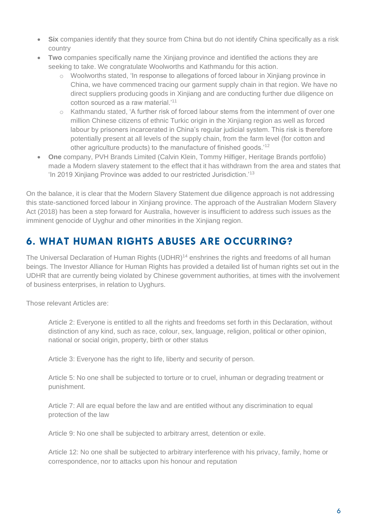- **Six** companies identify that they source from China but do not identify China specifically as a risk country
- **Two** companies specifically name the Xinjiang province and identified the actions they are seeking to take. We congratulate Woolworths and Kathmandu for this action.
	- $\circ$  Woolworths stated, 'In response to allegations of forced labour in Xinjiang province in China, we have commenced tracing our garment supply chain in that region. We have no direct suppliers producing goods in Xinjiang and are conducting further due diligence on cotton sourced as a raw material.'<sup>11</sup>
	- o Kathmandu stated, 'A further risk of forced labour stems from the internment of over one million Chinese citizens of ethnic Turkic origin in the Xinjiang region as well as forced labour by prisoners incarcerated in China's regular judicial system. This risk is therefore potentially present at all levels of the supply chain, from the farm level (for cotton and other agriculture products) to the manufacture of finished goods.'<sup>12</sup>
- **One** company, PVH Brands Limited (Calvin Klein, Tommy Hilfiger, Heritage Brands portfolio) made a Modern slavery statement to the effect that it has withdrawn from the area and states that 'In 2019 Xinjiang Province was added to our restricted Jurisdiction.'<sup>13</sup>

On the balance, it is clear that the Modern Slavery Statement due diligence approach is not addressing this state-sanctioned forced labour in Xinjiang province. The approach of the Australian Modern Slavery Act (2018) has been a step forward for Australia, however is insufficient to address such issues as the imminent genocide of Uyghur and other minorities in the Xinijang region.

# **6. WHAT HUMAN RIGHTS ABUSES ARE OCCURRING?**

The Universal Declaration of Human Rights (UDHR)<sup>14</sup> enshrines the rights and freedoms of all human beings. The Investor Alliance for Human Rights has provided a detailed list of human rights set out in the UDHR that are currently being violated by Chinese government authorities, at times with the involvement of business enterprises, in relation to Uyghurs.

Those relevant Articles are:

Article 2: Everyone is entitled to all the rights and freedoms set forth in this Declaration, without distinction of any kind, such as race, colour, sex, language, religion, political or other opinion, national or social origin, property, birth or other status

Article 3: Everyone has the right to life, liberty and security of person.

Article 5: No one shall be subjected to torture or to cruel, inhuman or degrading treatment or punishment.

Article 7: All are equal before the law and are entitled without any discrimination to equal protection of the law

Article 9: No one shall be subjected to arbitrary arrest, detention or exile.

Article 12: No one shall be subjected to arbitrary interference with his privacy, family, home or correspondence, nor to attacks upon his honour and reputation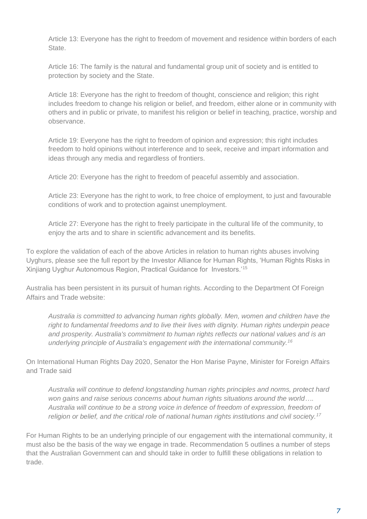Article 13: Everyone has the right to freedom of movement and residence within borders of each State.

Article 16: The family is the natural and fundamental group unit of society and is entitled to protection by society and the State.

Article 18: Everyone has the right to freedom of thought, conscience and religion; this right includes freedom to change his religion or belief, and freedom, either alone or in community with others and in public or private, to manifest his religion or belief in teaching, practice, worship and observance.

Article 19: Everyone has the right to freedom of opinion and expression; this right includes freedom to hold opinions without interference and to seek, receive and impart information and ideas through any media and regardless of frontiers.

Article 20: Everyone has the right to freedom of peaceful assembly and association.

Article 23: Everyone has the right to work, to free choice of employment, to just and favourable conditions of work and to protection against unemployment.

Article 27: Everyone has the right to freely participate in the cultural life of the community, to enjoy the arts and to share in scientific advancement and its benefits.

To explore the validation of each of the above Articles in relation to human rights abuses involving Uyghurs, please see the full report by the Investor Alliance for Human Rights, 'Human Rights Risks in Xinjiang Uyghur Autonomous Region, Practical Guidance for Investors.'<sup>15</sup>

Australia has been persistent in its pursuit of human rights. According to the Department Of Foreign Affairs and Trade website:

*Australia is committed to advancing human rights globally. Men, women and children have the right to fundamental freedoms and to live their lives with dignity. Human rights underpin peace and prosperity. Australia's commitment to human rights reflects our national values and is an underlying principle of Australia's engagement with the international community.<sup>16</sup>*

On International Human Rights Day 2020, Senator the Hon Marise Payne, Minister for Foreign Affairs and Trade said

*Australia will continue to defend longstanding human rights principles and norms, protect hard won gains and raise serious concerns about human rights situations around the world…. Australia will continue to be a strong voice in defence of freedom of expression, freedom of religion or belief, and the critical role of national human rights institutions and civil society.<sup>17</sup>*

For Human Rights to be an underlying principle of our engagement with the international community, it must also be the basis of the way we engage in trade. Recommendation 5 outlines a number of steps that the Australian Government can and should take in order to fulfill these obligations in relation to trade.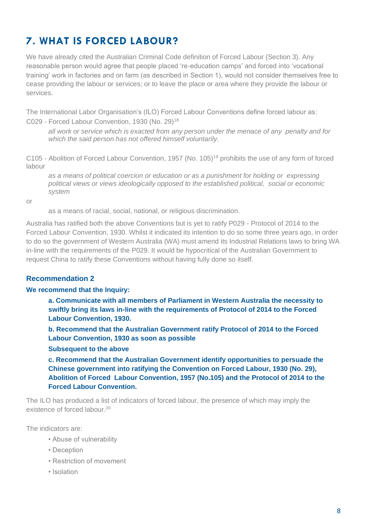# **7. WHAT IS FORCED LABOUR?**

We have already cited the Australian Criminal Code definition of Forced Labour (Section 3). Any reasonable person would agree that people placed 're-education camps' and forced into 'vocational training' work in factories and on farm (as described in Section 1), would not consider themselves free to cease providing the labour or services; or to leave the place or area where they provide the labour or services.

The International Labor Organisation's (ILO) Forced Labour Conventions define forced labour as: C029 - Forced Labour Convention, 1930 (No. 29)<sup>18</sup>

*all work or service which is exacted from any person under the menace of any penalty and for which the said person has not offered himself voluntarily.* 

C105 - Abolition of Forced Labour Convention, 1957 (No. 105)<sup>19</sup> prohibits the use of any form of forced labour

*as a means of political coercion or education or as a punishment for holding or expressing political views or views ideologically opposed to the established political, social or economic system* 

or

as a means of racial, social, national, or religious discrimination.

Australia has ratified both the above Conventions but is yet to ratify P029 - Protocol of 2014 to the Forced Labour Convention, 1930. Whilst it indicated its intention to do so some three years ago, in order to do so the government of Western Australia (WA) must amend its Industrial Relations laws to bring WA in-line with the requirements of the P029. It would be hypocritical of the Australian Government to request China to ratify these Conventions without having fully done so itself.

#### **Recommendation 2**

#### **We recommend that the Inquiry:**

**a. Communicate with all members of Parliament in Western Australia the necessity to swiftly bring its laws in-line with the requirements of Protocol of 2014 to the Forced Labour Convention, 1930.** 

**b. Recommend that the Australian Government ratify Protocol of 2014 to the Forced Labour Convention, 1930 as soon as possible** 

#### **Subsequent to the above**

**c. Recommend that the Australian Government identify opportunities to persuade the Chinese government into ratifying the Convention on Forced Labour, 1930 (No. 29), Abolition of Forced Labour Convention, 1957 (No.105) and the Protocol of 2014 to the Forced Labour Convention.**

The ILO has produced a list of indicators of forced labour, the presence of which may imply the existence of forced labour.<sup>20</sup>

The indicators are:

- Abuse of vulnerability
- Deception
- Restriction of movement
- Isolation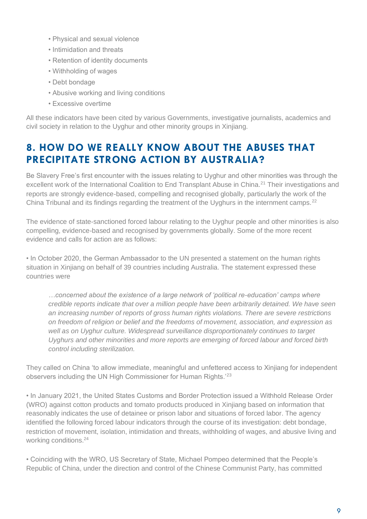- Physical and sexual violence
- Intimidation and threats
- Retention of identity documents
- Withholding of wages
- Debt bondage
- Abusive working and living conditions
- Excessive overtime

All these indicators have been cited by various Governments, investigative journalists, academics and civil society in relation to the Uyghur and other minority groups in Xinjiang.

# **8. HOW DO WE REALLY KNOW ABOUT THE ABUSES THAT PRECIPITATE STRONG ACTION BY AUSTRALIA?**

Be Slavery Free's first encounter with the issues relating to Uyghur and other minorities was through the excellent work of the International Coalition to End Transplant Abuse in China.<sup>21</sup> Their investigations and reports are strongly evidence-based, compelling and recognised globally, particularly the work of the China Tribunal and its findings regarding the treatment of the Uyghurs in the internment camps.<sup>22</sup>

The evidence of state-sanctioned forced labour relating to the Uyghur people and other minorities is also compelling, evidence-based and recognised by governments globally. Some of the more recent evidence and calls for action are as follows:

• In October 2020, the German Ambassador to the UN presented a statement on the human rights situation in Xinjiang on behalf of 39 countries including Australia. The statement expressed these countries were

*…concerned about the existence of a large network of 'political re-education' camps where credible reports indicate that over a million people have been arbitrarily detained. We have seen an increasing number of reports of gross human rights violations. There are severe restrictions on freedom of religion or belief and the freedoms of movement, association, and expression as*  well as on Uyghur culture. Widespread surveillance disproportionately continues to target *Uyghurs and other minorities and more reports are emerging of forced labour and forced birth control including sterilization.*

They called on China 'to allow immediate, meaningful and unfettered access to Xinjiang for independent observers including the UN High Commissioner for Human Rights.<sup>'23</sup>

• In January 2021, the United States Customs and Border Protection issued a Withhold Release Order (WRO) against cotton products and tomato products produced in Xinjiang based on information that reasonably indicates the use of detainee or prison labor and situations of forced labor. The agency identified the following forced labour indicators through the course of its investigation: debt bondage, restriction of movement, isolation, intimidation and threats, withholding of wages, and abusive living and working conditions.<sup>24</sup>

• Coinciding with the WRO, US Secretary of State, Michael Pompeo determined that the People's Republic of China, under the direction and control of the Chinese Communist Party, has committed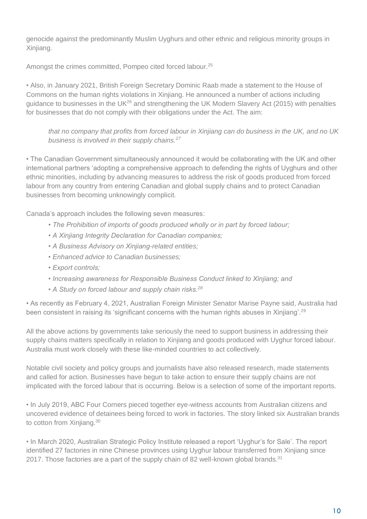genocide against the predominantly Muslim Uyghurs and other ethnic and religious minority groups in Xinjiang.

Amongst the crimes committed, Pompeo cited forced labour.<sup>25</sup>

• Also, in January 2021, British Foreign Secretary Dominic Raab made a statement to the House of Commons on the human rights violations in Xinjiang. He announced a number of actions including guidance to businesses in the UK<sup>26</sup> and strengthening the UK Modern Slavery Act (2015) with penalties for businesses that do not comply with their obligations under the Act. The aim:

*that no company that profits from forced labour in Xinjiang can do business in the UK, and no UK business is involved in their supply chains.<sup>27</sup>*

• The Canadian Government simultaneously announced it would be collaborating with the UK and other international partners 'adopting a comprehensive approach to defending the rights of Uyghurs and other ethnic minorities, including by advancing measures to address the risk of goods produced from forced labour from any country from entering Canadian and global supply chains and to protect Canadian businesses from becoming unknowingly complicit.

Canada's approach includes the following seven measures:

- *The Prohibition of imports of goods produced wholly or in part by forced labour;*
- *A Xinjiang Integrity Declaration for Canadian companies;*
- *A Business Advisory on Xinjiang-related entities;*
- *Enhanced advice to Canadian businesses;*
- *Export controls;*
- *Increasing awareness for Responsible Business Conduct linked to Xinjiang; and*
- *A Study on forced labour and supply chain risks.<sup>28</sup>*

• As recently as February 4, 2021, Australian Foreign Minister Senator Marise Payne said, Australia had been consistent in raising its 'significant concerns with the human rights abuses in Xinjiang'.<sup>29</sup>

All the above actions by governments take seriously the need to support business in addressing their supply chains matters specifically in relation to Xinjiang and goods produced with Uyghur forced labour. Australia must work closely with these like-minded countries to act collectively.

Notable civil society and policy groups and journalists have also released research, made statements and called for action. Businesses have begun to take action to ensure their supply chains are not implicated with the forced labour that is occurring. Below is a selection of some of the important reports.

• In July 2019, ABC Four Corners pieced together eye-witness accounts from Australian citizens and uncovered evidence of detainees being forced to work in factories. The story linked six Australian brands to cotton from Xinjiang.<sup>30</sup>

• In March 2020, Australian Strategic Policy Institute released a report 'Uyghur's for Sale'. The report identified 27 factories in nine Chinese provinces using Uyghur labour transferred from Xinjiang since 2017. Those factories are a part of the supply chain of 82 well-known global brands. $31$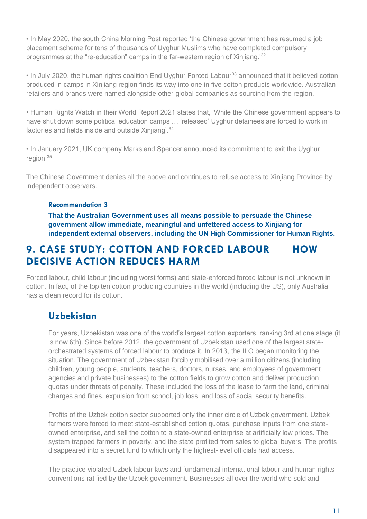• In May 2020, the south China Morning Post reported 'the Chinese government has resumed a job placement scheme for tens of thousands of Uyghur Muslims who have completed compulsory programmes at the "re-education" camps in the far-western region of Xinjiang.'<sup>32</sup>

• In July 2020, the human rights coalition End Uyghur Forced Labour<sup>33</sup> announced that it believed cotton produced in camps in Xinjiang region finds its way into one in five cotton products worldwide. Australian retailers and brands were named alongside other global companies as sourcing from the region.

• Human Rights Watch in their World Report 2021 states that, 'While the Chinese government appears to have shut down some political education camps … 'released' Uyghur detainees are forced to work in factories and fields inside and outside Xinjiang'.<sup>34</sup>

• In January 2021, UK company Marks and Spencer announced its commitment to exit the Uyghur region.<sup>35</sup>

The Chinese Government denies all the above and continues to refuse access to Xinjiang Province by independent observers.

#### **Recommendation 3**

**That the Australian Government uses all means possible to persuade the Chinese government allow immediate, meaningful and unfettered access to Xinjiang for independent external observers, including the UN High Commissioner for Human Rights.**

# **9. CASE STUDY: COTTON AND FORCED LABOUR HOW DECISIVE ACTION REDUCES HARM**

Forced labour, child labour (including worst forms) and state-enforced forced labour is not unknown in cotton. In fact, of the top ten cotton producing countries in the world (including the US), only Australia has a clean record for its cotton.

### **Uzbekistan**

For years, Uzbekistan was one of the world's largest cotton exporters, ranking 3rd at one stage (it is now 6th). Since before 2012, the government of Uzbekistan used one of the largest stateorchestrated systems of forced labour to produce it. In 2013, the ILO began monitoring the situation. The government of Uzbekistan forcibly mobilised over a million citizens (including children, young people, students, teachers, doctors, nurses, and employees of government agencies and private businesses) to the cotton fields to grow cotton and deliver production quotas under threats of penalty. These included the loss of the lease to farm the land, criminal charges and fines, expulsion from school, job loss, and loss of social security benefits.

Profits of the Uzbek cotton sector supported only the inner circle of Uzbek government. Uzbek farmers were forced to meet state-established cotton quotas, purchase inputs from one stateowned enterprise, and sell the cotton to a state-owned enterprise at artificially low prices. The system trapped farmers in poverty, and the state profited from sales to global buyers. The profits disappeared into a secret fund to which only the highest-level officials had access.

The practice violated Uzbek labour laws and fundamental international labour and human rights conventions ratified by the Uzbek government. Businesses all over the world who sold and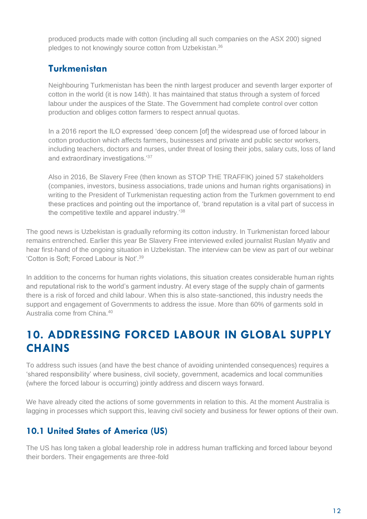produced products made with cotton (including all such companies on the ASX 200) signed pledges to not knowingly source cotton from Uzbekistan.<sup>36</sup>

# **Turkmenistan**

Neighbouring Turkmenistan has been the ninth largest producer and seventh larger exporter of cotton in the world (it is now 14th). It has maintained that status through a system of forced labour under the auspices of the State. The Government had complete control over cotton production and obliges cotton farmers to respect annual quotas.

In a 2016 report the ILO expressed 'deep concern [of] the widespread use of forced labour in cotton production which affects farmers, businesses and private and public sector workers, including teachers, doctors and nurses, under threat of losing their jobs, salary cuts, loss of land and extraordinary investigations.'<sup>37</sup>

Also in 2016, Be Slavery Free (then known as STOP THE TRAFFIK) joined 57 stakeholders (companies, investors, business associations, trade unions and human rights organisations) in writing to the President of Turkmenistan requesting action from the Turkmen government to end these practices and pointing out the importance of, 'brand reputation is a vital part of success in the competitive textile and apparel industry.'<sup>38</sup>

The good news is Uzbekistan is gradually reforming its cotton industry. In Turkmenistan forced labour remains entrenched. Earlier this year Be Slavery Free interviewed exiled journalist Ruslan Myativ and hear first-hand of the ongoing situation in Uzbekistan. The interview can be view as part of our webinar 'Cotton is Soft; Forced Labour is Not'.<sup>39</sup>

In addition to the concerns for human rights violations, this situation creates considerable human rights and reputational risk to the world's garment industry. At every stage of the supply chain of garments there is a risk of forced and child labour. When this is also state-sanctioned, this industry needs the support and engagement of Governments to address the issue. More than 60% of garments sold in Australia come from China.<sup>40</sup>

# **10. ADDRESSING FORCED LABOUR IN GLOBAL SUPPLY CHAINS**

To address such issues (and have the best chance of avoiding unintended consequences) requires a 'shared responsibility' where business, civil society, government, academics and local communities (where the forced labour is occurring) jointly address and discern ways forward.

We have already cited the actions of some governments in relation to this. At the moment Australia is lagging in processes which support this, leaving civil society and business for fewer options of their own.

# **10.1 United States of America (US)**

The US has long taken a global leadership role in address human trafficking and forced labour beyond their borders. Their engagements are three-fold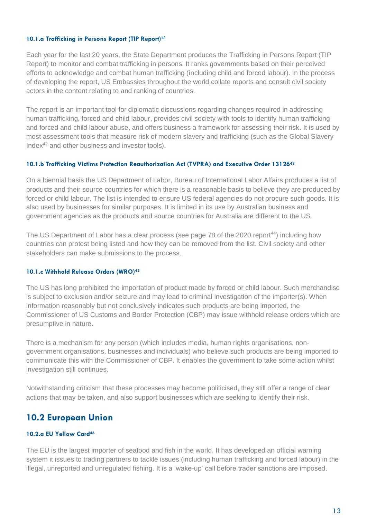#### **10.1.a Trafficking in Persons Report (TIP Report)<sup>41</sup>**

Each year for the last 20 years, the State Department produces the Trafficking in Persons Report (TIP Report) to monitor and combat trafficking in persons. It ranks governments based on their perceived efforts to acknowledge and combat human trafficking (including child and forced labour). In the process of developing the report, US Embassies throughout the world collate reports and consult civil society actors in the content relating to and ranking of countries.

The report is an important tool for diplomatic discussions regarding changes required in addressing human trafficking, forced and child labour, provides civil society with tools to identify human trafficking and forced and child labour abuse, and offers business a framework for assessing their risk. It is used by most assessment tools that measure risk of modern slavery and trafficking (such as the Global Slavery Index<sup>42</sup> and other business and investor tools).

#### **10.1.b Trafficking Victims Protection Reauthorization Act (TVPRA) and Executive Order 13126<sup>43</sup>**

On a biennial basis the US Department of Labor, Bureau of International Labor Affairs produces a list of products and their source countries for which there is a reasonable basis to believe they are produced by forced or child labour. The list is intended to ensure US federal agencies do not procure such goods. It is also used by businesses for similar purposes. It is limited in its use by Australian business and government agencies as the products and source countries for Australia are different to the US.

The US Department of Labor has a clear process (see page 78 of the 2020 report<sup>44</sup>) including how countries can protest being listed and how they can be removed from the list. Civil society and other stakeholders can make submissions to the process.

#### **10.1.c Withhold Release Orders (WRO)<sup>45</sup>**

The US has long prohibited the importation of product made by forced or child labour. Such merchandise is subject to exclusion and/or seizure and may lead to criminal investigation of the importer(s). When information reasonably but not conclusively indicates such products are being imported, the Commissioner of US Customs and Border Protection (CBP) may issue withhold release orders which are presumptive in nature.

There is a mechanism for any person (which includes media, human rights organisations, nongovernment organisations, businesses and individuals) who believe such products are being imported to communicate this with the Commissioner of CBP. It enables the government to take some action whilst investigation still continues.

Notwithstanding criticism that these processes may become politicised, they still offer a range of clear actions that may be taken, and also support businesses which are seeking to identify their risk.

### **10.2 European Union**

#### **10.2.a EU Yellow Card<sup>46</sup>**

The EU is the largest importer of seafood and fish in the world. It has developed an official warning system it issues to trading partners to tackle issues (including human trafficking and forced labour) in the illegal, unreported and unregulated fishing. It is a 'wake-up' call before trader sanctions are imposed.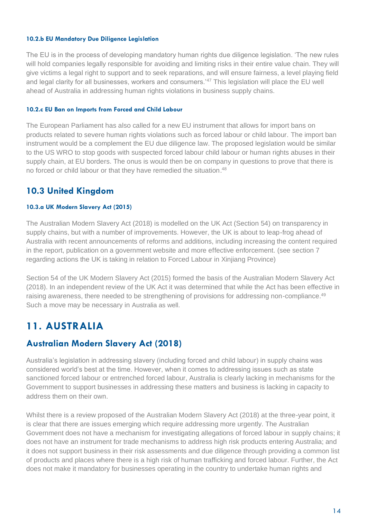#### **10.2.b EU Mandatory Due Diligence Legislation**

The EU is in the process of developing mandatory human rights due diligence legislation. 'The new rules will hold companies legally responsible for avoiding and limiting risks in their entire value chain. They will give victims a legal right to support and to seek reparations, and will ensure fairness, a level playing field and legal clarity for all businesses, workers and consumers.<sup>'47</sup> This legislation will place the EU well ahead of Australia in addressing human rights violations in business supply chains.

#### **10.2.c EU Ban on Imports from Forced and Child Labour**

The European Parliament has also called for a new EU instrument that allows for import bans on products related to severe human rights violations such as forced labour or child labour. The import ban instrument would be a complement the EU due diligence law. The proposed legislation would be similar to the US WRO to stop goods with suspected forced labour child labour or human rights abuses in their supply chain, at EU borders. The onus is would then be on company in questions to prove that there is no forced or child labour or that they have remedied the situation.<sup>48</sup>

### **10.3 United Kingdom**

#### **10.3.a UK Modern Slavery Act (2015)**

The Australian Modern Slavery Act (2018) is modelled on the UK Act (Section 54) on transparency in supply chains, but with a number of improvements. However, the UK is about to leap-frog ahead of Australia with recent announcements of reforms and additions, including increasing the content required in the report, publication on a government website and more effective enforcement. (see section 7 regarding actions the UK is taking in relation to Forced Labour in Xinjiang Province)

Section 54 of the UK Modern Slavery Act (2015) formed the basis of the Australian Modern Slavery Act (2018). In an independent review of the UK Act it was determined that while the Act has been effective in raising awareness, there needed to be strengthening of provisions for addressing non-compliance.<sup>49</sup> Such a move may be necessary in Australia as well.

# **11. AUSTRALIA**

### **Australian Modern Slavery Act (2018)**

Australia's legislation in addressing slavery (including forced and child labour) in supply chains was considered world's best at the time. However, when it comes to addressing issues such as state sanctioned forced labour or entrenched forced labour, Australia is clearly lacking in mechanisms for the Government to support businesses in addressing these matters and business is lacking in capacity to address them on their own.

Whilst there is a review proposed of the Australian Modern Slavery Act (2018) at the three-year point, it is clear that there are issues emerging which require addressing more urgently. The Australian Government does not have a mechanism for investigating allegations of forced labour in supply chains; it does not have an instrument for trade mechanisms to address high risk products entering Australia; and it does not support business in their risk assessments and due diligence through providing a common list of products and places where there is a high risk of human trafficking and forced labour. Further, the Act does not make it mandatory for businesses operating in the country to undertake human rights and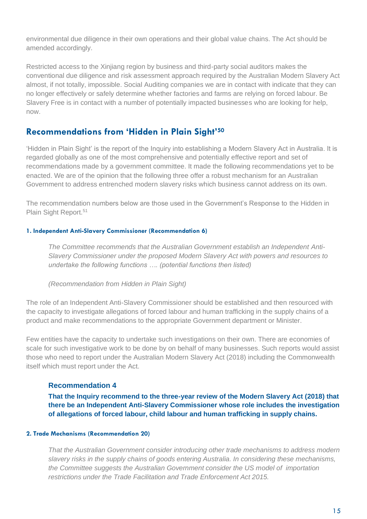environmental due diligence in their own operations and their global value chains. The Act should be amended accordingly.

Restricted access to the Xinjiang region by business and third-party social auditors makes the conventional due diligence and risk assessment approach required by the Australian Modern Slavery Act almost, if not totally, impossible. Social Auditing companies we are in contact with indicate that they can no longer effectively or safely determine whether factories and farms are relying on forced labour. Be Slavery Free is in contact with a number of potentially impacted businesses who are looking for help, now.

### **Recommendations from 'Hidden in Plain Sight'<sup>50</sup>**

'Hidden in Plain Sight' is the report of the Inquiry into establishing a Modern Slavery Act in Australia. It is regarded globally as one of the most comprehensive and potentially effective report and set of recommendations made by a government committee. It made the following recommendations yet to be enacted. We are of the opinion that the following three offer a robust mechanism for an Australian Government to address entrenched modern slavery risks which business cannot address on its own.

The recommendation numbers below are those used in the Government's Response to the Hidden in Plain Sight Report.<sup>51</sup>

#### **1. Independent Anti-Slavery Commissioner (Recommendation 6)**

*The Committee recommends that the Australian Government establish an Independent Anti-Slavery Commissioner under the proposed Modern Slavery Act with powers and resources to undertake the following functions …. (potential functions then listed)* 

*(Recommendation from Hidden in Plain Sight)*

The role of an Independent Anti-Slavery Commissioner should be established and then resourced with the capacity to investigate allegations of forced labour and human trafficking in the supply chains of a product and make recommendations to the appropriate Government department or Minister.

Few entities have the capacity to undertake such investigations on their own. There are economies of scale for such investigative work to be done by on behalf of many businesses. Such reports would assist those who need to report under the Australian Modern Slavery Act (2018) including the Commonwealth itself which must report under the Act.

#### **Recommendation 4**

**That the Inquiry recommend to the three-year review of the Modern Slavery Act (2018) that there be an Independent Anti-Slavery Commissioner whose role includes the investigation of allegations of forced labour, child labour and human trafficking in supply chains.**

#### **2. Trade Mechanisms (Recommendation 20)**

*That the Australian Government consider introducing other trade mechanisms to address modern slavery risks in the supply chains of goods entering Australia. In considering these mechanisms, the Committee suggests the Australian Government consider the US model of importation restrictions under the Trade Facilitation and Trade Enforcement Act 2015.*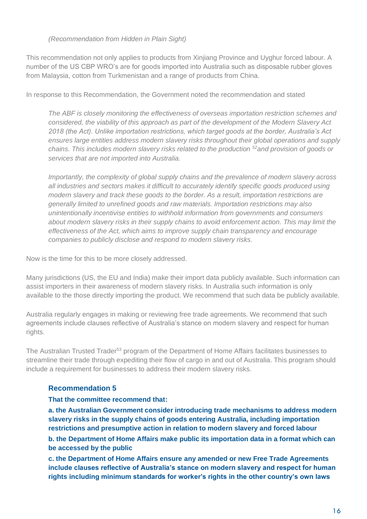#### *(Recommendation from Hidden in Plain Sight)*

This recommendation not only applies to products from Xinjiang Province and Uyghur forced labour. A number of the US CBP WRO's are for goods imported into Australia such as disposable rubber gloves from Malaysia, cotton from Turkmenistan and a range of products from China.

In response to this Recommendation, the Government noted the recommendation and stated

*The ABF is closely monitoring the effectiveness of overseas importation restriction schemes and considered, the viability of this approach as part of the development of the Modern Slavery Act 2018 (the Act). Unlike importation restrictions, which target goods at the border, Australia's Act ensures large entities address modern slavery risks throughout their global operations and supply chains. This includes modern slavery risks related to the production <sup>52</sup>and provision of goods or services that are not imported into Australia.* 

*Importantly, the complexity of global supply chains and the prevalence of modern slavery across all industries and sectors makes it difficult to accurately identify specific goods produced using modern slavery and track these goods to the border. As a result, importation restrictions are generally limited to unrefined goods and raw materials. Importation restrictions may also unintentionally incentivise entities to withhold information from governments and consumers about modern slavery risks in their supply chains to avoid enforcement action. This may limit the effectiveness of the Act, which aims to improve supply chain transparency and encourage companies to publicly disclose and respond to modern slavery risks.* 

Now is the time for this to be more closely addressed.

Many jurisdictions (US, the EU and India) make their import data publicly available. Such information can assist importers in their awareness of modern slavery risks. In Australia such information is only available to the those directly importing the product. We recommend that such data be publicly available.

Australia regularly engages in making or reviewing free trade agreements. We recommend that such agreements include clauses reflective of Australia's stance on modern slavery and respect for human rights.

The Australian Trusted Trader<sup>53</sup> program of the Department of Home Affairs facilitates businesses to streamline their trade through expediting their flow of cargo in and out of Australia. This program should include a requirement for businesses to address their modern slavery risks.

#### **Recommendation 5**

#### **That the committee recommend that:**

**a. the Australian Government consider introducing trade mechanisms to address modern slavery risks in the supply chains of goods entering Australia, including importation restrictions and presumptive action in relation to modern slavery and forced labour b. the Department of Home Affairs make public its importation data in a format which can** 

#### **be accessed by the public**

**c. the Department of Home Affairs ensure any amended or new Free Trade Agreements include clauses reflective of Australia's stance on modern slavery and respect for human rights including minimum standards for worker's rights in the other country's own laws**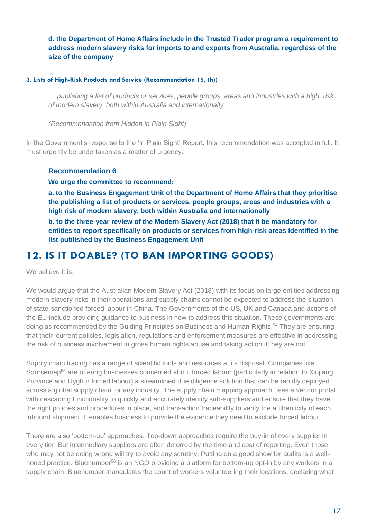**d. the Department of Home Affairs include in the Trusted Trader program a requirement to address modern slavery risks for imports to and exports from Australia, regardless of the size of the company**

#### **3. Lists of High-Risk Products and Service (Recommendation 15, (h))**

*… publishing a list of products or services, people groups, areas and industries with a high risk of modern slavery, both within Australia and internationally.* 

*(Recommendation from Hidden in Plain Sight)*

In the Government's response to the 'In Plain Sight' Report, this recommendation was accepted in full. It must urgently be undertaken as a matter of urgency.

#### **Recommendation 6**

**We urge the committee to recommend:**

**a. to the Business Engagement Unit of the Department of Home Affairs that they prioritise the publishing a list of products or services, people groups, areas and industries with a high risk of modern slavery, both within Australia and internationally** 

**b. to the three-year review of the Modern Slavery Act (2018) that it be mandatory for entities to report specifically on products or services from high-risk areas identified in the list published by the Business Engagement Unit**

## **12. IS IT DOABLE? (TO BAN IMPORTING GOODS)**

We believe it is.

We would argue that the Australian Modern Slavery Act (2018) with its focus on large entities addressing modern slavery risks in their operations and supply chains cannot be expected to address the situation of state-sanctioned forced labour in China. The Governments of the US, UK and Canada and actions of the EU include providing guidance to business in how to address this situation. These governments are doing as recommended by the Guiding Principles on Business and Human Rights.<sup>54</sup> They are ensuring that their 'current policies, legislation, regulations and enforcement measures are effective in addressing the risk of business involvement in gross human rights abuse and taking action if they are not'.

Supply chain tracing has a range of scientific tools and resources at its disposal. Companies like Sourcemap<sup>55</sup> are offering businesses concerned about forced labour (particularly in relation to Xinjiang Province and Uyghur forced labour) a streamlined due diligence solution that can be rapidly deployed across a global supply chain for any industry. The supply chain mapping approach uses a vendor portal with cascading functionality to quickly and accurately identify sub-suppliers and ensure that they have the right policies and procedures in place, and transaction traceability to verify the authenticity of each inbound shipment. It enables business to provide the evidence they need to exclude forced labour.

There are also 'bottom-up' approaches. Top-down approaches require the buy-in of every supplier in every tier. But intermediary suppliers are often deterred by the time and cost of reporting. Even those who may not be doing wrong will try to avoid any scrutiny. Putting on a good show for audits is a wellhoned practice. Bluenumber<sup>56</sup> is an NGO providing a platform for bottom-up opt-in by any workers in a supply chain. Bluenumber triangulates the count of workers volunteering their locations, declaring what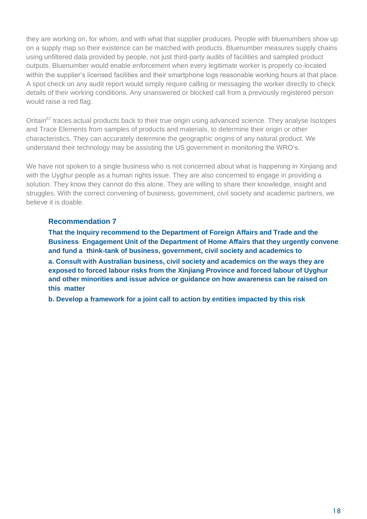they are working on, for whom, and with what that supplier produces. People with bluenumbers show up on a supply map so their existence can be matched with products. Bluenumber measures supply chains using unfiltered data provided by people, not just third-party audits of facilities and sampled product outputs. Bluenumber would enable enforcement when every legitimate worker is properly co-located within the supplier's licensed facilities and their smartphone logs reasonable working hours at that place. A spot check on any audit report would simply require calling or messaging the worker directly to check details of their working conditions. Any unanswered or blocked call from a previously registered person would raise a red flag.

Oritain<sup>57</sup> traces actual products back to their true origin using advanced science. They analyse Isotopes and Trace Elements from samples of products and materials, to determine their origin or other characteristics. They can accurately determine the geographic origins of any natural product. We understand their technology may be assisting the US government in monitoring the WRO's.

We have not spoken to a single business who is not concerned about what is happening in Xinjiang and with the Uyghur people as a human rights issue. They are also concerned to engage in providing a solution. They know they cannot do this alone. They are willing to share their knowledge, insight and struggles. With the correct convening of business, government, civil society and academic partners, we believe it is doable.

#### **Recommendation 7**

**That the Inquiry recommend to the Department of Foreign Affairs and Trade and the Business Engagement Unit of the Department of Home Affairs that they urgently convene and fund a think-tank of business, government, civil society and academics to** 

**a. Consult with Australian business, civil society and academics on the ways they are exposed to forced labour risks from the Xinjiang Province and forced labour of Uyghur and other minorities and issue advice or guidance on how awareness can be raised on this matter** 

**b. Develop a framework for a joint call to action by entities impacted by this risk**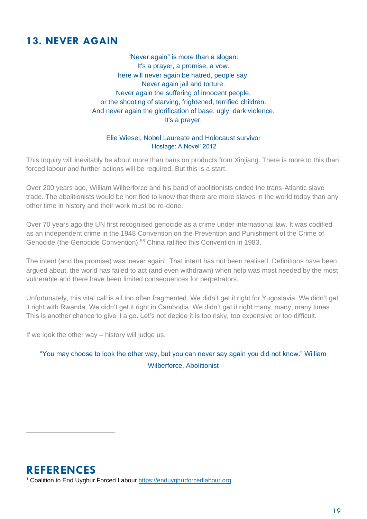# **13. NEVER AGAIN**

"Never again" is more than a slogan: It's a prayer, a promise, a vow. here will never again be hatred, people say. Never again jail and torture. Never again the suffering of innocent people, or the shooting of starving, frightened, terrified children. And never again the glorification of base, ugly, dark violence. It's a prayer.

#### Elie Wiesel, Nobel Laureate and Holocaust survivor 'Hostage: A Novel' 2012

This Inquiry will inevitably be about more than bans on products from Xinjiang. There is more to this than forced labour and further actions will be required. But this is a start.

Over 200 years ago, William Wilberforce and his band of abolitionists ended the trans-Atlantic slave trade. The abolitionists would be horrified to know that there are more slaves in the world today than any other time in history and their work must be re-done.

Over 70 years ago the UN first recognised genocide as a crime under international law. It was codified as an independent crime in the 1948 Convention on the Prevention and Punishment of the Crime of Genocide (the Genocide Convention).<sup>58</sup> China ratified this Convention in 1983.

The intent (and the promise) was 'never again'. That intent has not been realised. Definitions have been argued about, the world has failed to act (and even withdrawn) when help was most needed by the most vulnerable and there have been limited consequences for perpetrators.

Unfortunately, this vital call is all too often fragmented. We didn't get it right for Yugoslavia. We didn't get it right with Rwanda. We didn't get it right in Cambodia. We didn't get it right many, many, many times. This is another chance to give it a go. Let's not decide it is too risky, too expensive or too difficult.

If we look the other way – history will judge us.

"You may choose to look the other way, but you can never say again you did not know." William Wilberforce, Abolitionist

**REFERENCES** <sup>1</sup> Coalition to End Uyghur Forced Labour [https://enduyghurforcedlabour.org](https://enduyghurforcedlabour.org/)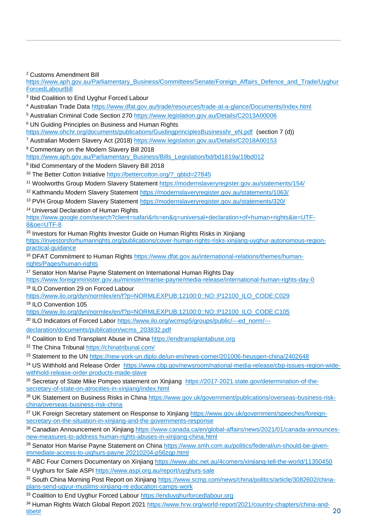<sup>2</sup> Customs Amendment Bill

[https://www.aph.gov.au/Parliamentary\\_Business/Committees/Senate/Foreign\\_Affairs\\_Defence\\_and\\_Trade/Uyghur](https://www.aph.gov.au/Parliamentary_Business/Committees/Senate/Foreign_Affairs_Defence_and_Trade/UyghurForcedLabourBill) **[ForcedLabourBill](https://www.aph.gov.au/Parliamentary_Business/Committees/Senate/Foreign_Affairs_Defence_and_Trade/UyghurForcedLabourBill)** 

<sup>3</sup> Ibid Coalition to End Uyghur Forced Labour

<sup>4</sup> Australian Trade Data<https://www.dfat.gov.au/trade/resources/trade-at-a-glance/Documents/index.html>

<sup>5</sup> Australian Criminal Code Section 270<https://www.legislation.gov.au/Details/C2013A00006>

<sup>6</sup> UN Guiding Principles on Business and Human Rights

[https://www.ohchr.org/documents/publications/GuidingprinciplesBusinesshr\\_eN.pdf](https://www.ohchr.org/documents/publications/GuidingprinciplesBusinesshr_eN.pdf) (section 7 (d))

<sup>7</sup> Australian Modern Slavery Act (2018)<https://www.legislation.gov.au/Details/C2018A00153>

<sup>8</sup> Commentary on the Modern Slavery Bill 2018

[https://www.aph.gov.au/Parliamentary\\_Business/Bills\\_Legislation/bd/bd1819a/19bd012](https://www.aph.gov.au/Parliamentary_Business/Bills_Legislation/bd/bd1819a/19bd012)

9 Ibid Commentary of the Modern Slavery Bill 2018

<sup>10</sup> The Better Cotton Initiative [https://bettercotton.org/?\\_qbtid=27845](https://bettercotton.org/?_qbtid=27845)

- <sup>11</sup> Woolworths Group Modern Slavery Statement<https://modernslaveryregister.gov.au/statements/154/>
- <sup>12</sup> Kathmandu Modern Slavery Statement<https://modernslaveryregister.gov.au/statements/1063/>
- <sup>13</sup> PVH Group Modern Slavery Statement<https://modernslaveryregister.gov.au/statements/320/>

<sup>14</sup> Universal Declaration of Human Rights

[https://www.google.com/search?client=safari&rls=en&q=universal+declaration+of+human+rights&ie=UTF-](https://www.google.com/search?client=safari&rls=en&q=universal+declaration+of+human+rights&ie=UTF-8&oe=UTF-8)[8&oe=UTF-8](https://www.google.com/search?client=safari&rls=en&q=universal+declaration+of+human+rights&ie=UTF-8&oe=UTF-8)

<sup>15</sup> Investors for Human Rights Investor Guide on Human Rights Risks in Xinjiang [https://investorsforhumanrights.org/publications/cover-human-rights-risks-xinjiang-uyghur-autonomous-region](https://investorsforhumanrights.org/publications/cover-human-rights-risks-xinjiang-uyghur-autonomous-region-practical-guidance)[practical-guidance](https://investorsforhumanrights.org/publications/cover-human-rights-risks-xinjiang-uyghur-autonomous-region-practical-guidance)

<sup>16</sup> DFAT Commitment to Human Rights [https://www.dfat.gov.au/international-relations/themes/human](https://www.dfat.gov.au/international-relations/themes/human-rights/Pages/human-rights)[rights/Pages/human-rights](https://www.dfat.gov.au/international-relations/themes/human-rights/Pages/human-rights)

<sup>17</sup> Senator Hon Marise Payne Statement on International Human Rights Day <https://www.foreignminister.gov.au/minister/marise-payne/media-release/international-human-rights-day-0>

<sup>18</sup> ILO Convention 29 on Forced Labour

[https://www.ilo.org/dyn/normlex/en/f?p=NORMLEXPUB:12100:0::NO::P12100\\_ILO\\_CODE:C029](https://www.ilo.org/dyn/normlex/en/f?p=NORMLEXPUB:12100:0::NO::P12100_ILO_CODE:C029) <sup>19</sup> ILO Convention 105

[https://www.ilo.org/dyn/normlex/en/f?p=NORMLEXPUB:12100:0::NO::P12100\\_ILO\\_CODE:C105](https://www.ilo.org/dyn/normlex/en/f?p=NORMLEXPUB:12100:0::NO::P12100_ILO_CODE:C105) 

<sup>20</sup> ILO Indicators of Forced Labor [https://www.ilo.org/wcmsp5/groups/public/---ed\\_norm/---](https://www.ilo.org/wcmsp5/groups/public/---ed_norm/---%20%20%20declaration/documents/publication/wcms_203832.pdf)

[declaration/documents/publication/wcms\\_203832.pdf](https://www.ilo.org/wcmsp5/groups/public/---ed_norm/---%20%20%20declaration/documents/publication/wcms_203832.pdf) 

<sup>21</sup> Coalition to End Transplant Abuse in China [https://endtransplantabuse.org](https://endtransplantabuse.org/)

<sup>22</sup> The China Tribunal<https://chinatribunal.com/>

<sup>23</sup> Statement to the UN<https://new-york-un.diplo.de/un-en/news-corner/201006-heusgen-china/2402648>

<sup>24</sup> US Withhold and Release Order [https://www.cbp.gov/newsroom/national-media-release/cbp-issues-region-wide](https://www.cbp.gov/newsroom/national-media-release/cbp-issues-region-wide-withhold-release-order%20products-made-slave)[withhold-release-order products-made-slave](https://www.cbp.gov/newsroom/national-media-release/cbp-issues-region-wide-withhold-release-order%20products-made-slave)

<sup>25</sup> Secretary of State Mike Pompeo statement on Xinjiang [https://2017-2021.state.gov/determination-of-the](https://2017-2021.state.gov/determination-of-the-secretary-of-state-on-atrocities-in-xinjiang/index.html)[secretary-of-state-on-atrocities-in-xinjiang/index.html](https://2017-2021.state.gov/determination-of-the-secretary-of-state-on-atrocities-in-xinjiang/index.html)

<sup>26</sup> UK Statement on Business Risks in China [https://www.gov.uk/government/publications/overseas-business-risk](https://www.gov.uk/government/publications/overseas-business-risk-china/overseas-business-risk-china)[china/overseas-business-risk-china](https://www.gov.uk/government/publications/overseas-business-risk-china/overseas-business-risk-china)

<sup>27</sup> UK Foreign Secretary statement on Response to Xinjiang [https://www.gov.uk/government/speeches/foreign](https://www.canada.ca/en/global-affairs/news/2021/01/canada-announces-new-measures-to-address%20human-rights-abuses-in-xinjiang-china.html)[secretary-on-the-situation-in-xinjiang-and-the governments-response](https://www.canada.ca/en/global-affairs/news/2021/01/canada-announces-new-measures-to-address%20human-rights-abuses-in-xinjiang-china.html)

<sup>28</sup> Canadian Announcement on Xinjiang [https://www.canada.ca/en/global-affairs/news/2021/01/canada-announces](https://www.canada.ca/en/global-affairs/news/2021/01/canada-announces-new-measures-to-address%20human-rights-abuses-in-xinjiang-china.html)[new-measures-to-address human-rights-abuses-in-xinjiang-china.html](https://www.canada.ca/en/global-affairs/news/2021/01/canada-announces-new-measures-to-address%20human-rights-abuses-in-xinjiang-china.html)

<sup>29</sup> Senator Hon Marise Payne Statement on China [https://www.smh.com.au/politics/federal/un-should-be-given](https://www.smh.com.au/politics/federal/un-should-be-given-immediate-access-to-uighurs-payne%2020210204-p56zgp.html)[immediate-access-to-uighurs-payne 20210204-p56zgp.html](https://www.smh.com.au/politics/federal/un-should-be-given-immediate-access-to-uighurs-payne%2020210204-p56zgp.html)

30 ABC Four Corners Documentary on Xinjiang https://www.abc.net.au/4corners/xinjiang-tell-the-world/11350450

<sup>31</sup> Uyghurs for Sale ASPI https://www.aspi.org.au/report/uyghurs-sale

<sup>32</sup> South China Morning Post Report on Xinjiang [https://www.scmp.com/news/china/politics/article/3082602/china](https://www.scmp.com/news/china/politics/article/3082602/china-plans-send-ugyur-muslims-xinjiang-re%20education-camps-work)[plans-send-ugyur-muslims-xinjiang-re education-camps-work](https://www.scmp.com/news/china/politics/article/3082602/china-plans-send-ugyur-muslims-xinjiang-re%20education-camps-work) 

33 Coalition to End Uyghur Forced Labour [https://enduyghurforcedlabour.org](https://enduyghurforcedlabour.org/)

<sup>34</sup> Human Rights Watch Global Report 2021 [https://www.hrw.org/world-report/2021/country-chapters/china-and](https://www.hrw.org/world-report/2021/country-chapters/china-and-tibet)[tibet#](https://www.hrw.org/world-report/2021/country-chapters/china-and-tibet)